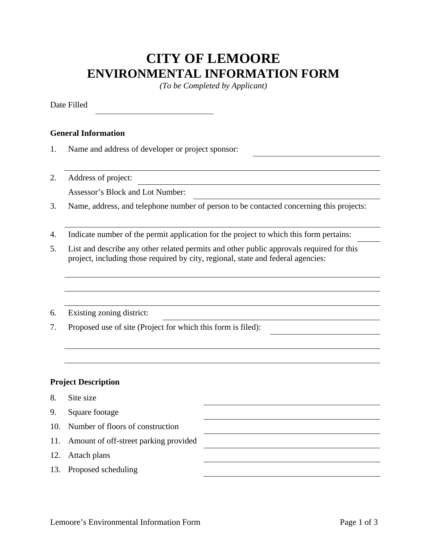## **CITY OF LEMOORE ENVIRONMENTAL INFORMATION FORM**

*(To be Completed by Applicant)* 

Date Filled

## **General Information**

- 1. Name and address of developer or project sponsor:
- 2. Address of project: Assessor's Block and Lot Number:
- 3. Name, address, and telephone number of person to be contacted concerning this projects:
- 4. Indicate number of the permit application for the project to which this form pertains:
- 5. List and describe any other related permits and other public approvals required for this project, including those required by city, regional, state and federal agencies:
- 6. Existing zoning district:
- 7. Proposed use of site (Project for which this form is filed):

## **Project Description**

- 8. Site size
- 9. Square footage
- 10. Number of floors of construction
- 11. Amount of off-street parking provided
- 12. Attach plans
- 13. Proposed scheduling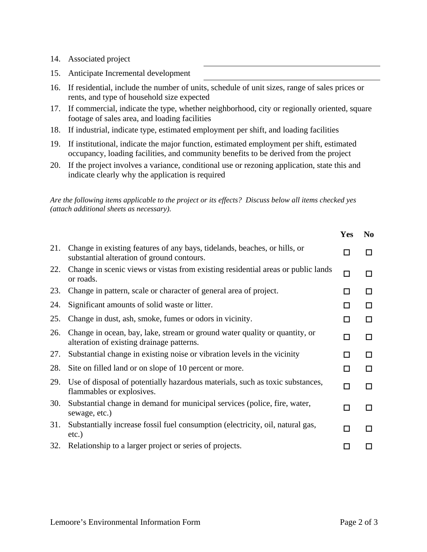- 14. Associated project
- 15. Anticipate Incremental development
- 16. If residential, include the number of units, schedule of unit sizes, range of sales prices or rents, and type of household size expected
- 17. If commercial, indicate the type, whether neighborhood, city or regionally oriented, square footage of sales area, and loading facilities
- 18. If industrial, indicate type, estimated employment per shift, and loading facilities
- 19. If institutional, indicate the major function, estimated employment per shift, estimated occupancy, loading facilities, and community benefits to be derived from the project
- 20. If the project involves a variance, conditional use or rezoning application, state this and indicate clearly why the application is required

*Are the following items applicable to the project or its effects? Discuss below all items checked yes (attach additional sheets as necessary).* 

|     |                                                                                                                         | <b>Yes</b> | N <sub>0</sub> |
|-----|-------------------------------------------------------------------------------------------------------------------------|------------|----------------|
| 21. | Change in existing features of any bays, tidelands, beaches, or hills, or<br>substantial alteration of ground contours. | П          | П              |
| 22. | Change in scenic views or vistas from existing residential areas or public lands<br>or roads.                           | □          | П              |
| 23. | Change in pattern, scale or character of general area of project.                                                       | □          | П              |
| 24. | Significant amounts of solid waste or litter.                                                                           | □          | ΙI             |
| 25. | Change in dust, ash, smoke, fumes or odors in vicinity.                                                                 | □          | П              |
| 26. | Change in ocean, bay, lake, stream or ground water quality or quantity, or<br>alteration of existing drainage patterns. | □          | П              |
| 27. | Substantial change in existing noise or vibration levels in the vicinity                                                | П          | П              |
| 28. | Site on filled land or on slope of 10 percent or more.                                                                  | П          | П              |
| 29. | Use of disposal of potentially hazardous materials, such as toxic substances,<br>flammables or explosives.              | □          | п              |
| 30. | Substantial change in demand for municipal services (police, fire, water,<br>sewage, etc.)                              | □          | П              |
| 31. | Substantially increase fossil fuel consumption (electricity, oil, natural gas,<br>$etc.$ )                              | □          | П              |
| 32. | Relationship to a larger project or series of projects.                                                                 |            |                |